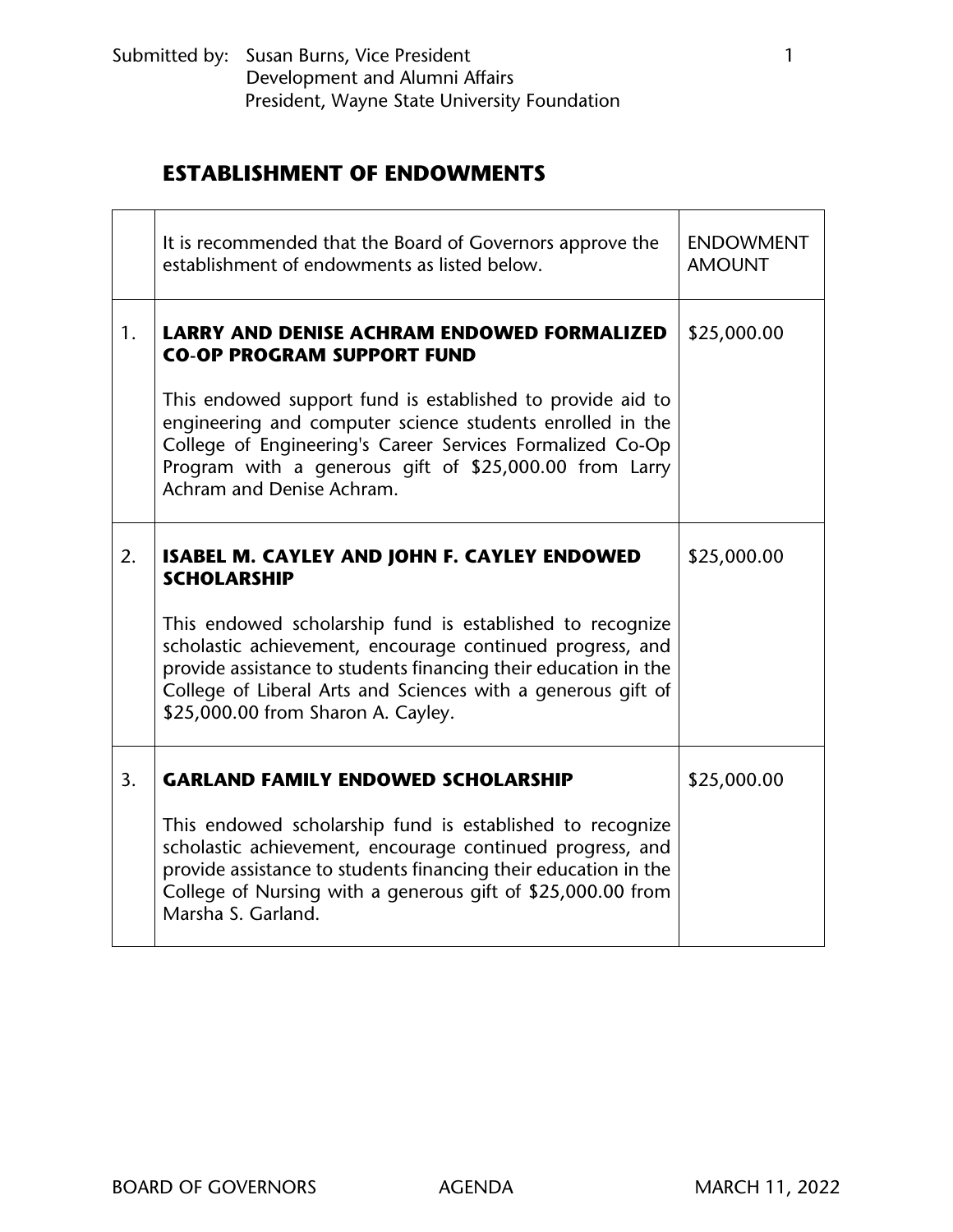## **ESTABLISHMENT OF ENDOWMENTS**

|    | It is recommended that the Board of Governors approve the<br>establishment of endowments as listed below.                                                                                                                                                                                       | <b>ENDOWMENT</b><br><b>AMOUNT</b> |
|----|-------------------------------------------------------------------------------------------------------------------------------------------------------------------------------------------------------------------------------------------------------------------------------------------------|-----------------------------------|
| 1. | <b>LARRY AND DENISE ACHRAM ENDOWED FORMALIZED</b><br><b>CO-OP PROGRAM SUPPORT FUND</b>                                                                                                                                                                                                          | \$25,000.00                       |
|    | This endowed support fund is established to provide aid to<br>engineering and computer science students enrolled in the<br>College of Engineering's Career Services Formalized Co-Op<br>Program with a generous gift of \$25,000.00 from Larry<br>Achram and Denise Achram.                     |                                   |
| 2. | ISABEL M. CAYLEY AND JOHN F. CAYLEY ENDOWED<br><b>SCHOLARSHIP</b>                                                                                                                                                                                                                               | \$25,000.00                       |
|    | This endowed scholarship fund is established to recognize<br>scholastic achievement, encourage continued progress, and<br>provide assistance to students financing their education in the<br>College of Liberal Arts and Sciences with a generous gift of<br>\$25,000.00 from Sharon A. Cayley. |                                   |
| 3. | <b>GARLAND FAMILY ENDOWED SCHOLARSHIP</b>                                                                                                                                                                                                                                                       | \$25,000.00                       |
|    | This endowed scholarship fund is established to recognize<br>scholastic achievement, encourage continued progress, and<br>provide assistance to students financing their education in the<br>College of Nursing with a generous gift of \$25,000.00 from<br>Marsha S. Garland.                  |                                   |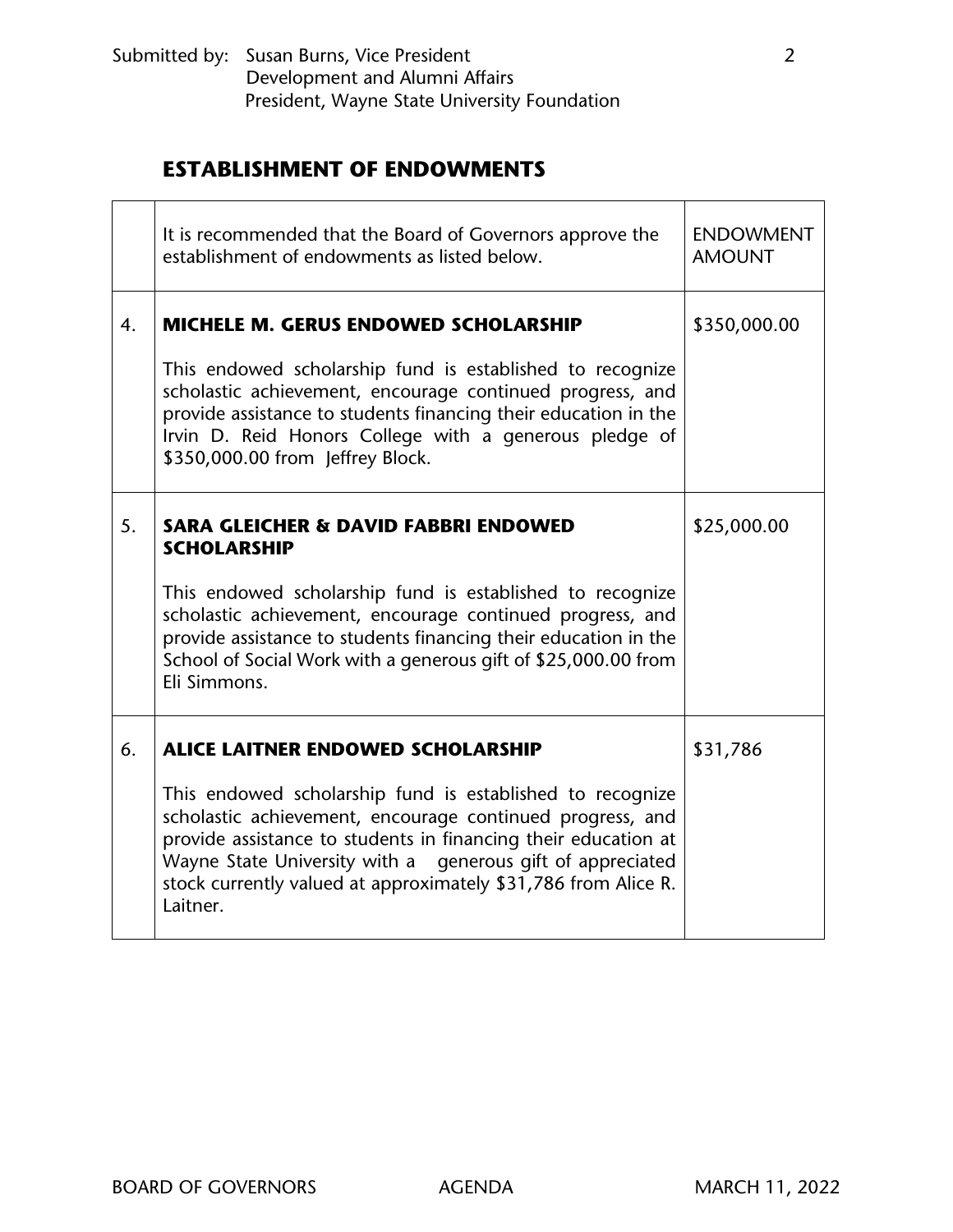## **ESTABLISHMENT OF ENDOWMENTS**

|    | It is recommended that the Board of Governors approve the<br>establishment of endowments as listed below.                                                                                                                                                                                                                            | <b>ENDOWMENT</b><br><b>AMOUNT</b> |
|----|--------------------------------------------------------------------------------------------------------------------------------------------------------------------------------------------------------------------------------------------------------------------------------------------------------------------------------------|-----------------------------------|
| 4. | <b>MICHELE M. GERUS ENDOWED SCHOLARSHIP</b>                                                                                                                                                                                                                                                                                          | \$350,000.00                      |
|    | This endowed scholarship fund is established to recognize<br>scholastic achievement, encourage continued progress, and<br>provide assistance to students financing their education in the<br>Irvin D. Reid Honors College with a generous pledge of<br>\$350,000.00 from Jeffrey Block.                                              |                                   |
| 5. | <b>SARA GLEICHER &amp; DAVID FABBRI ENDOWED</b><br><b>SCHOLARSHIP</b>                                                                                                                                                                                                                                                                | \$25,000.00                       |
|    | This endowed scholarship fund is established to recognize<br>scholastic achievement, encourage continued progress, and<br>provide assistance to students financing their education in the<br>School of Social Work with a generous gift of \$25,000.00 from<br>Eli Simmons.                                                          |                                   |
| 6. | <b>ALICE LAITNER ENDOWED SCHOLARSHIP</b>                                                                                                                                                                                                                                                                                             | \$31,786                          |
|    | This endowed scholarship fund is established to recognize<br>scholastic achievement, encourage continued progress, and<br>provide assistance to students in financing their education at<br>Wayne State University with a generous gift of appreciated<br>stock currently valued at approximately \$31,786 from Alice R.<br>Laitner. |                                   |